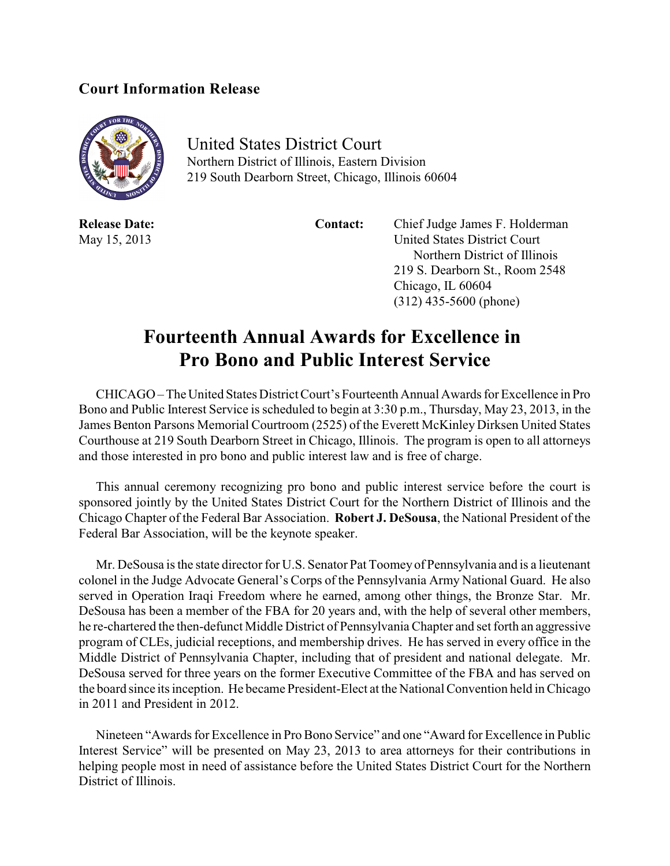## **Court Information Release**



United States District Court Northern District of Illinois, Eastern Division 219 South Dearborn Street, Chicago, Illinois 60604

**Release Date: Contact:** Chief Judge James F. Holderman May 15, 2013 United States District Court Northern District of Illinois 219 S. Dearborn St., Room 2548 Chicago, IL 60604 (312) 435-5600 (phone)

## **Fourteenth Annual Awards for Excellence in Pro Bono and Public Interest Service**

CHICAGO – The United States District Court's Fourteenth Annual Awards for Excellence in Pro Bono and Public Interest Service is scheduled to begin at 3:30 p.m., Thursday, May 23, 2013, in the James Benton Parsons Memorial Courtroom (2525) of the Everett McKinley Dirksen United States Courthouse at 219 South Dearborn Street in Chicago, Illinois. The program is open to all attorneys and those interested in pro bono and public interest law and is free of charge.

This annual ceremony recognizing pro bono and public interest service before the court is sponsored jointly by the United States District Court for the Northern District of Illinois and the Chicago Chapter of the Federal Bar Association. **Robert J. DeSousa**, the National President of the Federal Bar Association, will be the keynote speaker.

Mr. DeSousa is the state director for U.S. Senator Pat Toomey of Pennsylvania and is a lieutenant colonel in the Judge Advocate General's Corps of the Pennsylvania Army National Guard. He also served in Operation Iraqi Freedom where he earned, among other things, the Bronze Star. Mr. DeSousa has been a member of the FBA for 20 years and, with the help of several other members, he re-chartered the then-defunct Middle District of Pennsylvania Chapter and set forth an aggressive program of CLEs, judicial receptions, and membership drives. He has served in every office in the Middle District of Pennsylvania Chapter, including that of president and national delegate. Mr. DeSousa served for three years on the former Executive Committee of the FBA and has served on the board since its inception. He became President-Elect at the National Convention held in Chicago in 2011 and President in 2012.

Nineteen "Awards for Excellence in Pro Bono Service" and one "Award for Excellence in Public Interest Service" will be presented on May 23, 2013 to area attorneys for their contributions in helping people most in need of assistance before the United States District Court for the Northern District of Illinois.